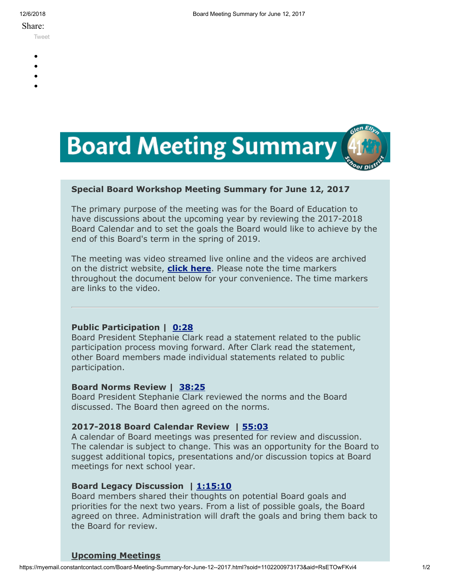#### Share:

[Tweet](https://twitter.com/intent/tweet?original_referer=https%3A%2F%2Fmyemail.constantcontact.com%2FBoard-Meeting-Summary-for-June-12--2017.html%3Fsoid%3D1102200973173%26aid%3DRsETOwFKvi4&ref_src=twsrc%5Etfw&text=Board%20Meeting%20Summary%20for%20June%2012%2C%202017&tw_p=tweetbutton&url=https%3A%2F%2Fmyemail.constantcontact.com%2FBoard-Meeting-Summary-for-June-12--2017.html%3Fsoid%3D1102200973173%26aid%3DRsETOwFKvi4)

- 
- 
- 
- 
- 



## **Special Board Workshop Meeting Summary for June 12, 2017**

The primary purpose of the meeting was for the Board of Education to have discussions about the upcoming year by reviewing the 2017-2018 Board Calendar and to set the goals the Board would like to achieve by the end of this Board's term in the spring of 2019.

The meeting was video streamed live online and the videos are archived on the district website, **[click here](http://www.d41.org/domain/463)**. Please note the time markers throughout the document below for your convenience. The time markers are links to the video.

### **Public Participation | [0:28](https://www.youtube.com/watch?v=oj9kjOZ1PP8&t=0m28s)**

Board President Stephanie Clark read a statement related to the public participation process moving forward. After Clark read the statement, other Board members made individual statements related to public participation.

### **Board Norms Review | [38:25](https://www.youtube.com/watch?v=oj9kjOZ1PP8&t=38m25s)**

Board President Stephanie Clark reviewed the norms and the Board discussed. The Board then agreed on the norms.

### **2017-2018 Board Calendar Review | [55:03](https://www.youtube.com/watch?v=oj9kjOZ1PP8&t=55m03s)**

A calendar of Board meetings was presented for review and discussion. The calendar is subject to change. This was an opportunity for the Board to suggest additional topics, presentations and/or discussion topics at Board meetings for next school year.

### **Board Legacy Discussion | [1:15:10](https://www.youtube.com/watch?v=oj9kjOZ1PP8&t=1h15m10s)**

Board members shared their thoughts on potential Board goals and priorities for the next two years. From a list of possible goals, the Board agreed on three. Administration will draft the goals and bring them back to the Board for review.

### **Upcoming Meetings**